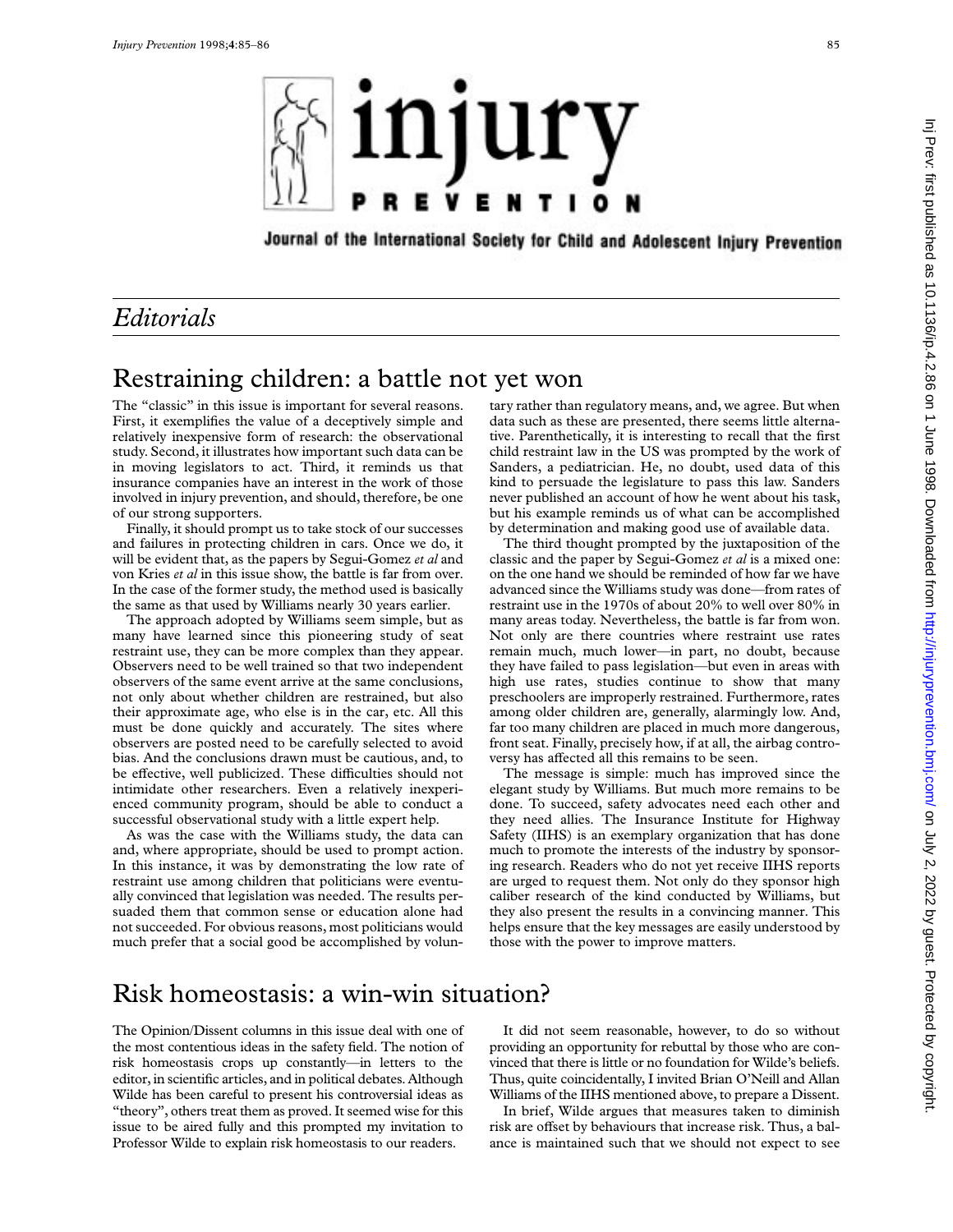

Journal of the International Society for Child and Adolescent Injury Prevention

### *Editorials*

# Restraining children: a battle not yet won

The "classic" in this issue is important for several reasons. First, it exemplifies the value of a deceptively simple and relatively inexpensive form of research: the observational study. Second, it illustrates how important such data can be in moving legislators to act. Third, it reminds us that insurance companies have an interest in the work of those involved in injury prevention, and should, therefore, be one of our strong supporters.

Finally, it should prompt us to take stock of our successes and failures in protecting children in cars. Once we do, it will be evident that, as the papers by Segui-Gomez *et al* and von Kries *et al* in this issue show, the battle is far from over. In the case of the former study, the method used is basically the same as that used by Williams nearly 30 years earlier.

The approach adopted by Williams seem simple, but as many have learned since this pioneering study of seat restraint use, they can be more complex than they appear. Observers need to be well trained so that two independent observers of the same event arrive at the same conclusions, not only about whether children are restrained, but also their approximate age, who else is in the car, etc. All this must be done quickly and accurately. The sites where observers are posted need to be carefully selected to avoid bias. And the conclusions drawn must be cautious, and, to be effective, well publicized. These difficulties should not intimidate other researchers. Even a relatively inexperienced community program, should be able to conduct a successful observational study with a little expert help.

As was the case with the Williams study, the data can and, where appropriate, should be used to prompt action. In this instance, it was by demonstrating the low rate of restraint use among children that politicians were eventually convinced that legislation was needed. The results persuaded them that common sense or education alone had not succeeded. For obvious reasons, most politicians would much prefer that a social good be accomplished by voluntary rather than regulatory means, and, we agree. But when data such as these are presented, there seems little alternative. Parenthetically, it is interesting to recall that the first child restraint law in the US was prompted by the work of Sanders, a pediatrician. He, no doubt, used data of this kind to persuade the legislature to pass this law. Sanders never published an account of how he went about his task, but his example reminds us of what can be accomplished by determination and making good use of available data.

The third thought prompted by the juxtaposition of the classic and the paper by Segui-Gomez *et al* is a mixed one: on the one hand we should be reminded of how far we have advanced since the Williams study was done—from rates of restraint use in the 1970s of about 20% to well over 80% in many areas today. Nevertheless, the battle is far from won. Not only are there countries where restraint use rates remain much, much lower—in part, no doubt, because they have failed to pass legislation—but even in areas with high use rates, studies continue to show that many preschoolers are improperly restrained. Furthermore, rates among older children are, generally, alarmingly low. And, far too many children are placed in much more dangerous, front seat. Finally, precisely how, if at all, the airbag controversy has affected all this remains to be seen.

The message is simple: much has improved since the elegant study by Williams. But much more remains to be done. To succeed, safety advocates need each other and they need allies. The Insurance Institute for Highway Safety (IIHS) is an exemplary organization that has done much to promote the interests of the industry by sponsoring research. Readers who do not yet receive IIHS reports are urged to request them. Not only do they sponsor high caliber research of the kind conducted by Williams, but they also present the results in a convincing manner. This helps ensure that the key messages are easily understood by those with the power to improve matters.

#### Risk homeostasis: a win-win situation?

The Opinion/Dissent columns in this issue deal with one of the most contentious ideas in the safety field. The notion of risk homeostasis crops up constantly—in letters to the editor, in scientific articles, and in political debates. Although Wilde has been careful to present his controversial ideas as "theory", others treat them as proved. It seemed wise for this issue to be aired fully and this prompted my invitation to Professor Wilde to explain risk homeostasis to our readers.

It did not seem reasonable, however, to do so without providing an opportunity for rebuttal by those who are convinced that there is little or no foundation for Wilde's beliefs. Thus, quite coincidentally, I invited Brian O'Neill and Allan Williams of the IIHS mentioned above, to prepare a Dissent.

In brief, Wilde argues that measures taken to diminish risk are offset by behaviours that increase risk. Thus, a balance is maintained such that we should not expect to see